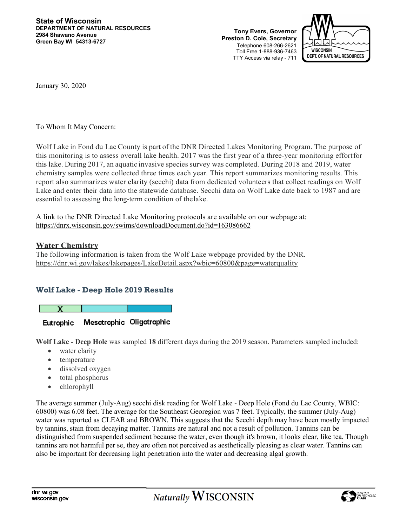**Tony Evers, Governor Preston D. Cole, Secretary** Telephone 608-266-2621 Toll Free 1-888-936-7463 TTY Access via relay - 711



January 30, 2020

To Whom It May Concern:

Wolf Lake in Fond du Lac County is part of the DNR Directed Lakes Monitoring Program. The purpose of this monitoring is to assess overall lake health. 2017 was the first year of a three-year monitoring effortfor this lake. During 2017, an aquatic invasive species survey was completed. During 2018 and 2019, water chemistry samples were collected three times each year. This report summarizes monitoring results. This report also summarizes water clarity (secchi) data from dedicated volunteers that collect readings on Wolf Lake and enter their data into the statewide database. Secchi data on Wolf Lake date back to 1987 and are essential to assessing the long-term condition of thelake.

A link to the DNR Directed Lake Monitoring protocols are available on our webpage at: https://dnrx.wisconsin.gov/swims/downloadDocument.do?id=163086662

#### **Water Chemistry**

The following information is taken from the Wolf Lake webpage provided by the DNR. https://dnr.wi.gov/lakes/lakepages/LakeDetail.aspx?wbic=60800&page=waterquality

## **Wolf Lake - Deep Hole 2019 Results**

Mesotrophic Oligotrophic **Eutrophic** 

**Wolf Lake - Deep Hole** was sampled **18** different days during the 2019 season. Parameters sampled included:

- water clarity
- temperature
- dissolved oxygen
- total phosphorus
- chlorophyll

The average summer (July-Aug) secchi disk reading for Wolf Lake - Deep Hole (Fond du Lac County, WBIC: 60800) was 6.08 feet. The average for the Southeast Georegion was 7 feet. Typically, the summer (July-Aug) water was reported as CLEAR and BROWN. This suggests that the Secchi depth may have been mostly impacted by tannins, stain from decaying matter. Tannins are natural and not a result of pollution. Tannins can be distinguished from suspended sediment because the water, even though it's brown, it looks clear, like tea. Though tannins are not harmful per se, they are often not perceived as aesthetically pleasing as clear water. Tannins can also be important for decreasing light penetration into the water and decreasing algal growth.

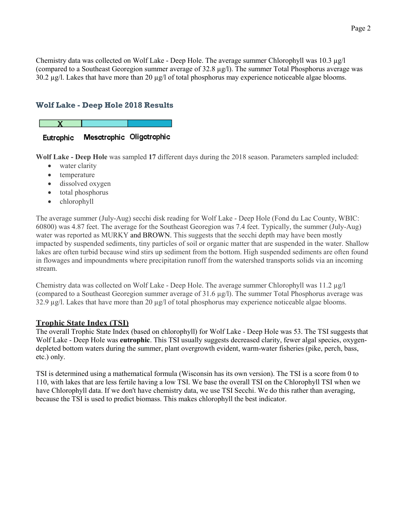Chemistry data was collected on Wolf Lake - Deep Hole. The average summer Chlorophyll was 10.3  $\mu$ g/l (compared to a Southeast Georegion summer average of 32.8 µg/l). The summer Total Phosphorus average was  $30.2 \mu g/l$ . Lakes that have more than  $20 \mu g/l$  of total phosphorus may experience noticeable algae blooms.

## **Wolf Lake - Deep Hole 2018 Results**



**Wolf Lake - Deep Hole** was sampled **17** different days during the 2018 season. Parameters sampled included:

- water clarity
- temperature
- dissolved oxygen
- total phosphorus
- chlorophyll

The average summer (July-Aug) secchi disk reading for Wolf Lake - Deep Hole (Fond du Lac County, WBIC: 60800) was 4.87 feet. The average for the Southeast Georegion was 7.4 feet. Typically, the summer (July-Aug) water was reported as MURKY and BROWN. This suggests that the secchi depth may have been mostly impacted by suspended sediments, tiny particles of soil or organic matter that are suspended in the water. Shallow lakes are often turbid because wind stirs up sediment from the bottom. High suspended sediments are often found in flowages and impoundments where precipitation runoff from the watershed transports solids via an incoming stream.

Chemistry data was collected on Wolf Lake - Deep Hole. The average summer Chlorophyll was 11.2  $\mu$ g/l (compared to a Southeast Georegion summer average of 31.6 µg/l). The summer Total Phosphorus average was 32.9 µg/l. Lakes that have more than 20 µg/l of total phosphorus may experience noticeable algae blooms.

### **Trophic State Index (TSI)**

The overall Trophic State Index (based on chlorophyll) for Wolf Lake - Deep Hole was 53. The TSI suggests that Wolf Lake - Deep Hole was **eutrophic**. This TSI usually suggests decreased clarity, fewer algal species, oxygendepleted bottom waters during the summer, plant overgrowth evident, warm-water fisheries (pike, perch, bass, etc.) only.

TSI is determined using a mathematical formula (Wisconsin has its own version). The TSI is a score from 0 to 110, with lakes that are less fertile having a low TSI. We base the overall TSI on the Chlorophyll TSI when we have Chlorophyll data. If we don't have chemistry data, we use TSI Secchi. We do this rather than averaging, because the TSI is used to predict biomass. This makes chlorophyll the best indicator.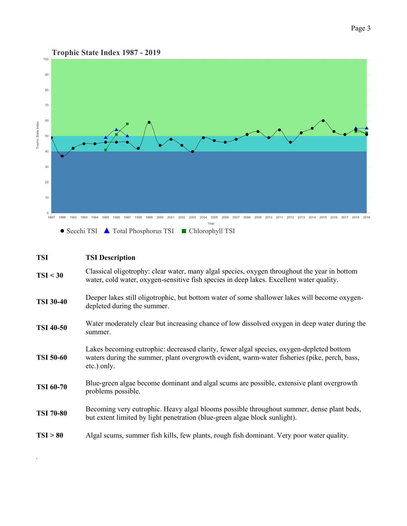

| <b>TSI</b>       | <b>TSI Description</b>                                                                                                                                                                                  |  |  |  |
|------------------|---------------------------------------------------------------------------------------------------------------------------------------------------------------------------------------------------------|--|--|--|
| TSI < 30         | Classical oligotrophy: clear water, many algal species, oxygen throughout the year in bottom<br>water, cold water, oxygen-sensitive fish species in deep lakes. Excellent water quality.                |  |  |  |
| <b>TSI 30-40</b> | Deeper lakes still oligotrophic, but bottom water of some shallower lakes will become oxygen-<br>depleted during the summer.                                                                            |  |  |  |
| <b>TSI 40-50</b> | Water moderately clear but increasing chance of low dissolved oxygen in deep water during the<br>summer.                                                                                                |  |  |  |
| <b>TSI 50-60</b> | Lakes becoming eutrophic: decreased clarity, fewer algal species, oxygen-depleted bottom<br>waters during the summer, plant overgrowth evident, warm-water fisheries (pike, perch, bass,<br>etc.) only. |  |  |  |
| <b>TSI 60-70</b> | Blue-green algae become dominant and algal scums are possible, extensive plant overgrowth<br>problems possible.                                                                                         |  |  |  |
| <b>TSI 70-80</b> | Becoming very eutrophic. Heavy algal blooms possible throughout summer, dense plant beds,<br>but extent limited by light penetration (blue-green algae block sunlight).                                 |  |  |  |
| TSI > 80         | Algal scums, summer fish kills, few plants, rough fish dominant. Very poor water quality.                                                                                                               |  |  |  |

.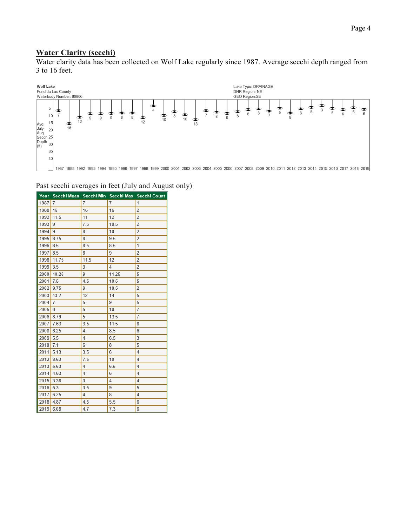# **Water Clarity (secchi)**

Water clarity data has been collected on Wolf Lake regularly since 1987. Average secchi depth ranged from 3 to 16 feet.



|             |                |                |                | Year Secchi Mean Secchi Min Secchi Max Secchi Count |
|-------------|----------------|----------------|----------------|-----------------------------------------------------|
| 1987        | $\overline{I}$ | $\overline{7}$ | $\overline{1}$ | 1                                                   |
| 1988        | 16             | 16             | 16             | $\overline{2}$                                      |
| 1992        | 11.5           | 11             | 12             | $\overline{2}$                                      |
| 1993        | 9              | 7.5            | 10.5           | $\overline{2}$                                      |
| 1994        | 9              | 8              | 10             | $\overline{2}$                                      |
| 1995        | 8.75           | 8              | 9.5            | $\overline{2}$                                      |
| 1996        | 8.5            | 8.5            | 8.5            | 1                                                   |
| 1997 8.5    |                | 8              | 9              | $\overline{2}$                                      |
| 1998        | 11.75          | 11.5           | 12             | $\overline{2}$                                      |
| 1999 3.5    |                | 3              | 4              | $\overline{2}$                                      |
|             | 2000 10.25     | 9              | 11.25          | 5                                                   |
| $2001$ 7.5  |                | 4.5            | 10.5           | 5                                                   |
| 2002 9.75   |                | 9              | 10.5           | $\overline{2}$                                      |
| 2003 13.2   |                | 12             | 14             | 5                                                   |
| 2004        | $\overline{7}$ | 5              | 9              | 5                                                   |
| 2005        | 8              | 5              | 10             | $\overline{7}$                                      |
| 2006 8.79   |                | 5              | 13.5           | $\overline{7}$                                      |
| 2007 7.63   |                | 3.5            | 11.5           | 8                                                   |
| 2008 6.25   |                | 4              | 8.5            | 6                                                   |
| $2009$ 5.5  |                | $\overline{4}$ | 6.5            | 3                                                   |
| 2010        | 17.1           | 6              | 8              | 5                                                   |
| $2011$ 5.13 |                | 3.5            | 6              | $\overline{4}$                                      |
| $2012$ 8.63 |                | 7.5            | 10             | $\overline{4}$                                      |
| $2013$ 5.63 |                | 4              | 6.5            | $\overline{4}$                                      |
| $2014$ 4.63 |                | 4              | 6              | $\overline{4}$                                      |
| 2015 3.38   |                | 3              | $\overline{4}$ | 4                                                   |
| $2016$ 5.3  |                | 3.5            | 9              | 5                                                   |
| 2017 6.25   |                | 4              | 8              | 4                                                   |
| 2018 4.87   |                | 4.5            | 5.5            | 6                                                   |
| $2019$ 6.08 |                | 4.7            | 7.3            | $6\overline{6}$                                     |

Past secchi averages in feet (July and August only)